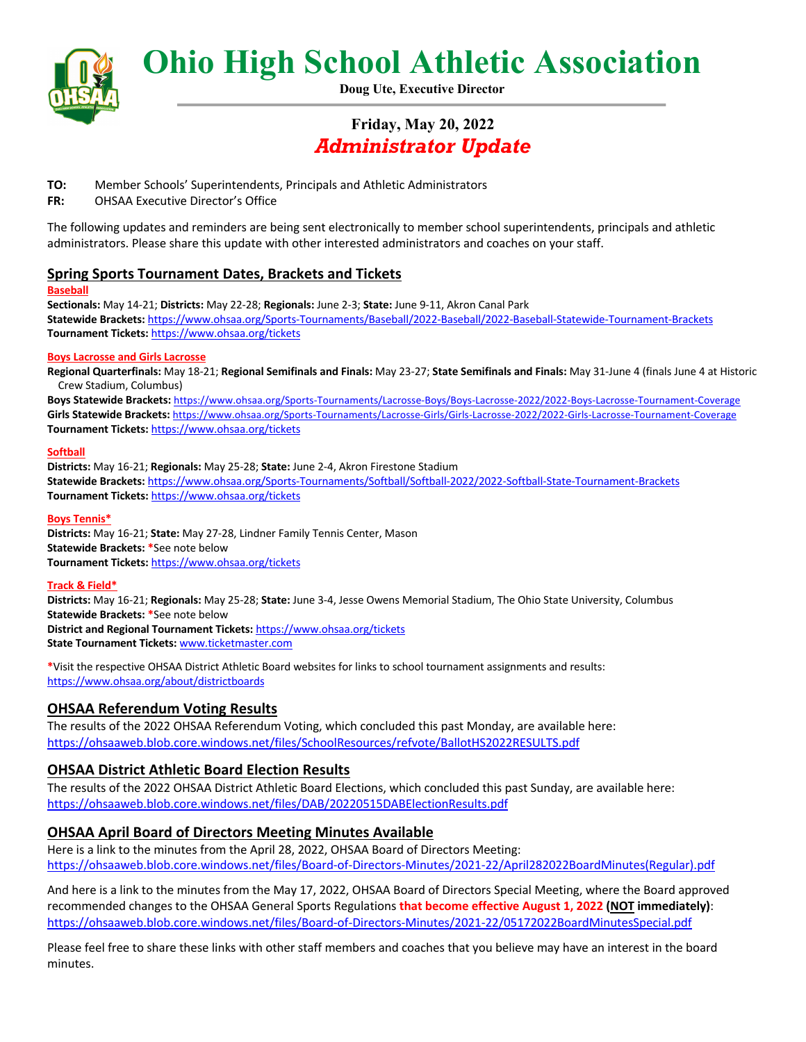

**Ohio High School Athletic Association**

**Doug Ute, Executive Director**

# **Friday, May 20, 2022** *Administrator Update*

- **TO:** Member Schools' Superintendents, Principals and Athletic Administrators
- **FR:** OHSAA Executive Director's Office

The following updates and reminders are being sent electronically to member school superintendents, principals and athletic administrators. Please share this update with other interested administrators and coaches on your staff.

# **Spring Sports Tournament Dates, Brackets and Tickets**

### **Baseball**

**Sectionals:** May 14-21; **Districts:** May 22-28; **Regionals:** June 2-3; **State:** June 9-11, Akron Canal Park **Statewide Brackets:** https://www.ohsaa.org/Sports-Tournaments/Baseball/2022-Baseball/2022-Baseball-Statewide-Tournament-Brackets **Tournament Tickets:** https://www.ohsaa.org/tickets

#### **Boys Lacrosse and Girls Lacrosse**

**Regional Quarterfinals:** May 18-21; **Regional Semifinals and Finals:** May 23-27; **State Semifinals and Finals:** May 31-June 4 (finals June 4 at Historic Crew Stadium, Columbus)

**Boys Statewide Brackets:** https://www.ohsaa.org/Sports-Tournaments/Lacrosse-Boys/Boys-Lacrosse-2022/2022-Boys-Lacrosse-Tournament-Coverage Girls Statewide Brackets: https://www.ohsaa.org/Sports-Tournaments/Lacrosse-Girls/Girls-Lacrosse-2022/2022-Girls-Lacrosse-Tournament-Coverage **Tournament Tickets:** https://www.ohsaa.org/tickets

#### **Softball**

**Districts:** May 16-21; **Regionals:** May 25-28; **State:** June 2-4, Akron Firestone Stadium **Statewide Brackets:** https://www.ohsaa.org/Sports-Tournaments/Softball/Softball-2022/2022-Softball-State-Tournament-Brackets **Tournament Tickets:** https://www.ohsaa.org/tickets

#### **Boys Tennis\***

**Districts:** May 16-21; **State:** May 27-28, Lindner Family Tennis Center, Mason **Statewide Brackets: \***See note below **Tournament Tickets:** https://www.ohsaa.org/tickets

### **Track & Field\***

**Districts:** May 16-21; **Regionals:** May 25-28; **State:** June 3-4, Jesse Owens Memorial Stadium, The Ohio State University, Columbus **Statewide Brackets: \***See note below **District and Regional Tournament Tickets:** https://www.ohsaa.org/tickets

**State Tournament Tickets:** www.ticketmaster.com

**\***Visit the respective OHSAA District Athletic Board websites for links to school tournament assignments and results: https://www.ohsaa.org/about/districtboards

# **OHSAA Referendum Voting Results**

The results of the 2022 OHSAA Referendum Voting, which concluded this past Monday, are available here: https://ohsaaweb.blob.core.windows.net/files/SchoolResources/refvote/BallotHS2022RESULTS.pdf

# **OHSAA District Athletic Board Election Results**

The results of the 2022 OHSAA District Athletic Board Elections, which concluded this past Sunday, are available here: https://ohsaaweb.blob.core.windows.net/files/DAB/20220515DABElectionResults.pdf

### **OHSAA April Board of Directors Meeting Minutes Available**

Here is a link to the minutes from the April 28, 2022, OHSAA Board of Directors Meeting: https://ohsaaweb.blob.core.windows.net/files/Board-of-Directors-Minutes/2021-22/April282022BoardMinutes(Regular).pdf

And here is a link to the minutes from the May 17, 2022, OHSAA Board of Directors Special Meeting, where the Board approved recommended changes to the OHSAA General Sports Regulations **that become effective August 1, 2022 (NOT immediately)**: https://ohsaaweb.blob.core.windows.net/files/Board-of-Directors-Minutes/2021-22/05172022BoardMinutesSpecial.pdf

Please feel free to share these links with other staff members and coaches that you believe may have an interest in the board minutes.